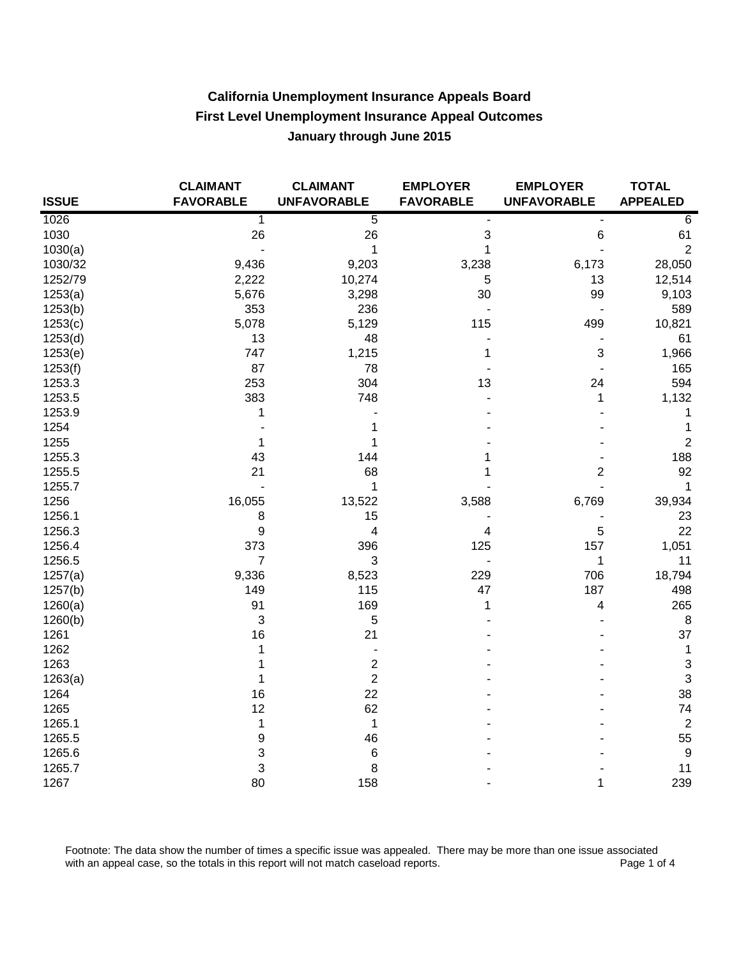| <b>ISSUE</b> | <b>CLAIMANT</b><br><b>FAVORABLE</b> | <b>CLAIMANT</b><br><b>UNFAVORABLE</b> | <b>EMPLOYER</b><br><b>FAVORABLE</b> | <b>EMPLOYER</b><br><b>UNFAVORABLE</b> | <b>TOTAL</b><br><b>APPEALED</b> |
|--------------|-------------------------------------|---------------------------------------|-------------------------------------|---------------------------------------|---------------------------------|
| 1026         | 1                                   | $\overline{5}$                        |                                     |                                       | 6                               |
| 1030         | 26                                  | 26                                    | $\sqrt{3}$                          | 6                                     | 61                              |
| 1030(a)      | $\blacksquare$                      | 1                                     | 1                                   |                                       | $\overline{2}$                  |
| 1030/32      | 9,436                               | 9,203                                 | 3,238                               | 6,173                                 | 28,050                          |
| 1252/79      | 2,222                               | 10,274                                | 5                                   | 13                                    | 12,514                          |
| 1253(a)      | 5,676                               | 3,298                                 | 30                                  | 99                                    | 9,103                           |
| 1253(b)      | 353                                 | 236                                   |                                     |                                       | 589                             |
| 1253(c)      | 5,078                               | 5,129                                 | 115                                 | 499                                   | 10,821                          |
| 1253(d)      | 13                                  | 48                                    |                                     |                                       | 61                              |
| 1253(e)      | 747                                 | 1,215                                 | 1                                   | 3                                     | 1,966                           |
| 1253(f)      | 87                                  | 78                                    |                                     |                                       | 165                             |
| 1253.3       | 253                                 | 304                                   | 13                                  | 24                                    | 594                             |
| 1253.5       | 383                                 | 748                                   |                                     | 1                                     | 1,132                           |
| 1253.9       | 1                                   |                                       |                                     |                                       | 1                               |
| 1254         |                                     | 1                                     |                                     |                                       | 1                               |
| 1255         | 1                                   | 1                                     |                                     |                                       | $\sqrt{2}$                      |
| 1255.3       | 43                                  | 144                                   | 1                                   |                                       | 188                             |
| 1255.5       | 21                                  | 68                                    | 1                                   | 2                                     | 92                              |
| 1255.7       |                                     | 1                                     |                                     |                                       | 1                               |
| 1256         | 16,055                              | 13,522                                | 3,588                               | 6,769                                 | 39,934                          |
| 1256.1       | 8                                   | 15                                    |                                     |                                       | 23                              |
| 1256.3       | 9                                   | 4                                     | 4                                   | 5                                     | 22                              |
| 1256.4       | 373                                 | 396                                   | 125                                 | 157                                   | 1,051                           |
| 1256.5       | $\overline{7}$                      | $\mathbf{3}$                          |                                     | 1                                     | 11                              |
| 1257(a)      | 9,336                               | 8,523                                 | 229                                 | 706                                   | 18,794                          |
| 1257(b)      | 149                                 | 115                                   | 47                                  | 187                                   | 498                             |
| 1260(a)      | 91                                  | 169                                   | 1                                   | 4                                     | 265                             |
| 1260(b)      | 3                                   | 5                                     |                                     |                                       | 8                               |
| 1261         | 16                                  | 21                                    |                                     |                                       | 37                              |
| 1262         | 1                                   | $\qquad \qquad \blacksquare$          |                                     |                                       | $\mathbf{1}$                    |
| 1263         | 1                                   | 2                                     |                                     |                                       | $\sqrt{3}$                      |
| 1263(a)      | 1                                   | $\overline{2}$                        |                                     |                                       | $\ensuremath{\mathsf{3}}$       |
| 1264         | 16                                  | 22                                    |                                     |                                       | 38                              |
| 1265         | 12                                  | 62                                    |                                     |                                       | 74                              |
| 1265.1       | 1                                   | $\mathbf 1$                           |                                     |                                       | $\boldsymbol{2}$                |
| 1265.5       | 9                                   | 46                                    |                                     |                                       | 55                              |
| 1265.6       | 3                                   | 6                                     |                                     |                                       | $\boldsymbol{9}$                |
| 1265.7       | 3                                   | 8                                     |                                     |                                       | 11                              |
| 1267         | 80                                  | 158                                   |                                     | 1                                     | 239                             |

Footnote: The data show the number of times a specific issue was appealed. There may be more than one issue associated with an appeal case, so the totals in this report will not match caseload reports. Page 1 of 4 with an appeal case, so the totals in this report will not match caseload reports.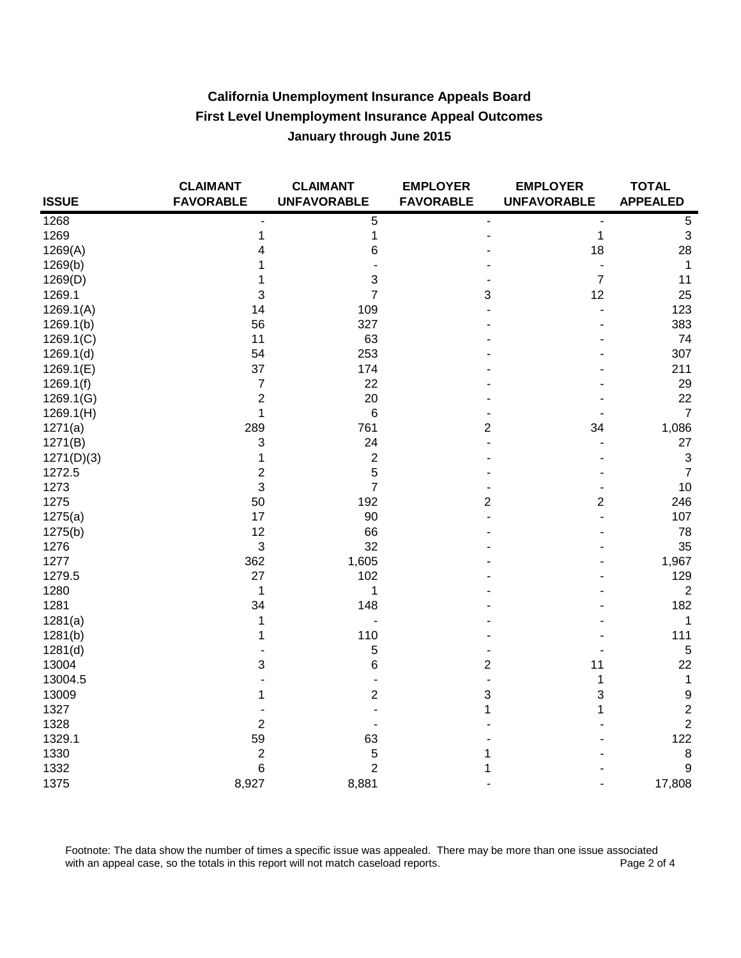| <b>ISSUE</b> | <b>CLAIMANT</b><br><b>FAVORABLE</b> | <b>CLAIMANT</b><br><b>UNFAVORABLE</b> | <b>EMPLOYER</b><br><b>FAVORABLE</b> | <b>EMPLOYER</b><br><b>UNFAVORABLE</b> | <b>TOTAL</b><br><b>APPEALED</b> |
|--------------|-------------------------------------|---------------------------------------|-------------------------------------|---------------------------------------|---------------------------------|
| 1268         |                                     | 5                                     | ٠                                   |                                       | $\overline{5}$                  |
| 1269         | 1                                   | $\mathbf 1$                           |                                     | 1                                     | $\ensuremath{\mathsf{3}}$       |
| 1269(A)      | 4                                   | 6                                     |                                     | 18                                    | 28                              |
| 1269(b)      | 1                                   |                                       |                                     | $\overline{\phantom{a}}$              | $\mathbf{1}$                    |
| 1269(D)      | 1                                   | 3                                     |                                     | $\overline{7}$                        | 11                              |
| 1269.1       | 3                                   | $\overline{7}$                        | 3                                   | 12                                    | 25                              |
| 1269.1(A)    | 14                                  | 109                                   |                                     |                                       | 123                             |
| 1269.1(b)    | 56                                  | 327                                   |                                     |                                       | 383                             |
| 1269.1(C)    | 11                                  | 63                                    |                                     |                                       | 74                              |
| 1269.1(d)    | 54                                  | 253                                   |                                     |                                       | 307                             |
| 1269.1(E)    | 37                                  | 174                                   |                                     |                                       | 211                             |
| 1269.1(f)    | $\overline{7}$                      | 22                                    |                                     |                                       | 29                              |
| 1269.1(G)    | $\overline{c}$                      | 20                                    |                                     |                                       | 22                              |
| 1269.1(H)    | 1                                   | 6                                     |                                     |                                       | $\overline{7}$                  |
| 1271(a)      | 289                                 | 761                                   | $\overline{c}$                      | 34                                    | 1,086                           |
| 1271(B)      | 3                                   | 24                                    |                                     |                                       | 27                              |
| 1271(D)(3)   | 1                                   | $\overline{\mathbf{c}}$               |                                     |                                       | $\ensuremath{\mathsf{3}}$       |
| 1272.5       | 2                                   | 5                                     |                                     |                                       | $\boldsymbol{7}$                |
| 1273         | 3                                   | 7                                     |                                     |                                       | 10                              |
| 1275         | 50                                  | 192                                   | $\overline{2}$                      | $\overline{2}$                        | 246                             |
| 1275(a)      | 17                                  | 90                                    |                                     | ÷                                     | 107                             |
| 1275(b)      | 12                                  | 66                                    |                                     |                                       | 78                              |
| 1276         | 3                                   | 32                                    |                                     |                                       | 35                              |
| 1277         | 362                                 | 1,605                                 |                                     |                                       | 1,967                           |
| 1279.5       | 27                                  | 102                                   |                                     |                                       | 129                             |
| 1280         | $\mathbf{1}$                        | $\mathbf{1}$                          |                                     |                                       | $\boldsymbol{2}$                |
| 1281         | 34                                  | 148                                   |                                     |                                       | 182                             |
| 1281(a)      | 1                                   | $\overline{a}$                        |                                     |                                       | $\mathbf{1}$                    |
| 1281(b)      | 1                                   | 110                                   |                                     |                                       | 111                             |
| 1281(d)      |                                     | 5                                     |                                     |                                       | $\sqrt{5}$                      |
| 13004        | 3                                   | 6                                     | $\overline{2}$                      | 11                                    | 22                              |
| 13004.5      |                                     |                                       |                                     | 1                                     | $\mathbf{1}$                    |
| 13009        | 1                                   | 2                                     | 3                                   | 3                                     | $\boldsymbol{9}$                |
| 1327         |                                     |                                       | 1                                   | 1                                     | $\mathbf 2$                     |
| 1328         | 2                                   |                                       |                                     |                                       | $\overline{c}$                  |
| 1329.1       | 59                                  | 63                                    |                                     |                                       | 122                             |
| 1330         | $\overline{\mathbf{c}}$             | 5                                     | 1                                   |                                       | $\bf 8$                         |
| 1332         | 6                                   | $\overline{\mathbf{c}}$               | 1                                   |                                       | $\boldsymbol{9}$                |
| 1375         | 8,927                               | 8,881                                 |                                     |                                       | 17,808                          |

Footnote: The data show the number of times a specific issue was appealed. There may be more than one issue associated with an appeal case, so the totals in this report will not match caseload reports. Page 2 of 4 with an appeal case, so the totals in this report will not match caseload reports.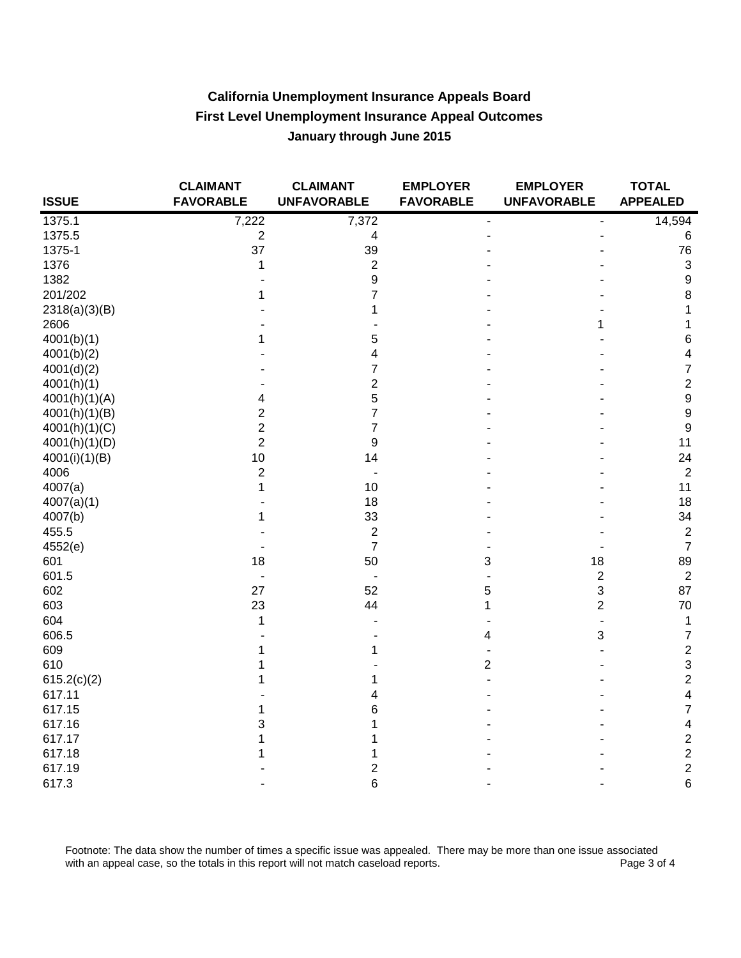| <b>ISSUE</b>     | <b>CLAIMANT</b><br><b>FAVORABLE</b> | <b>CLAIMANT</b><br><b>UNFAVORABLE</b> | <b>EMPLOYER</b><br><b>FAVORABLE</b> | <b>EMPLOYER</b><br><b>UNFAVORABLE</b> | <b>TOTAL</b><br><b>APPEALED</b> |
|------------------|-------------------------------------|---------------------------------------|-------------------------------------|---------------------------------------|---------------------------------|
| 1375.1           | 7,222                               | 7,372                                 |                                     |                                       | 14,594                          |
| 1375.5           | $\overline{c}$                      | 4                                     |                                     |                                       | 6                               |
| 1375-1           | 37                                  | 39                                    |                                     |                                       | 76                              |
| 1376             | 1                                   | $\overline{c}$                        |                                     |                                       | $\mathfrak{S}$                  |
| 1382             |                                     | 9                                     |                                     |                                       | $\boldsymbol{9}$                |
| 201/202          | 1                                   | 7                                     |                                     |                                       | 8                               |
| 2318(a)(3)(B)    |                                     | 1                                     |                                     |                                       | 1                               |
| 2606             |                                     |                                       |                                     | 1                                     | 1                               |
| 4001(b)(1)       | 1                                   | 5                                     |                                     |                                       | 6                               |
| 4001(b)(2)       |                                     | 4                                     |                                     |                                       | $\overline{\mathbf{4}}$         |
| 4001(d)(2)       |                                     | 7                                     |                                     |                                       | $\overline{7}$                  |
| 4001(h)(1)       |                                     | $\overline{c}$                        |                                     |                                       | $\overline{c}$                  |
| 4001(h)(1)(A)    | 4                                   | 5                                     |                                     |                                       | $\boldsymbol{9}$                |
| 4001(h)(1)(B)    | $\overline{2}$                      | 7                                     |                                     |                                       | 9                               |
| 4001(h)(1)(C)    | 2                                   | 7                                     |                                     |                                       | 9                               |
| 4001(h)(1)(D)    | $\overline{2}$                      | 9                                     |                                     |                                       | 11                              |
| 4001(i)(1)(B)    | 10                                  | 14                                    |                                     |                                       | 24                              |
| 4006             | $\overline{2}$                      |                                       |                                     |                                       | $\overline{2}$                  |
| 4007(a)          | 1                                   | 10                                    |                                     |                                       | 11                              |
| 4007(a)(1)       |                                     | 18                                    |                                     |                                       | 18                              |
| 4007(b)          | 1                                   | 33                                    |                                     |                                       | 34                              |
| 455.5            |                                     | $\overline{\mathbf{c}}$               |                                     |                                       | $\overline{c}$                  |
| 4552(e)          |                                     | $\overline{7}$                        |                                     |                                       | $\overline{7}$                  |
| 601              | 18                                  | 50                                    | 3                                   | 18                                    | 89                              |
| 601.5            |                                     | $\blacksquare$                        |                                     | $\overline{c}$                        | $\overline{c}$                  |
| 602              | 27                                  | 52                                    | 5                                   | 3                                     | 87                              |
| 603              | 23                                  | 44                                    | 1                                   | $\overline{\mathbf{c}}$               | 70                              |
| 604              | 1                                   |                                       |                                     |                                       | $\mathbf 1$                     |
| 606.5            |                                     |                                       | 4                                   | 3                                     | $\overline{7}$                  |
| 609              | 1                                   |                                       |                                     |                                       | $\mathbf{2}$                    |
| 610              | 1                                   |                                       | $\overline{2}$                      |                                       | $\mathbf{3}$                    |
| 615.2(c)(2)      | 1                                   |                                       |                                     |                                       | $\overline{\mathbf{c}}$         |
| 617.11           |                                     | 4                                     |                                     |                                       | 4                               |
| 617.15           | 1                                   | 6                                     |                                     |                                       | 7                               |
| 617.16<br>617.17 | 3                                   | 1                                     |                                     |                                       | 4<br>$\overline{c}$             |
| 617.18           | 1                                   |                                       |                                     |                                       | $\overline{c}$                  |
| 617.19           | 1                                   | 2                                     |                                     |                                       | $\overline{c}$                  |
| 617.3            |                                     | 6                                     |                                     |                                       | 6                               |
|                  |                                     |                                       |                                     |                                       |                                 |

Footnote: The data show the number of times a specific issue was appealed. There may be more than one issue associated with an appeal case, so the totals in this report will not match caseload reports. Page 3 of 4 with an appeal case, so the totals in this report will not match caseload reports.